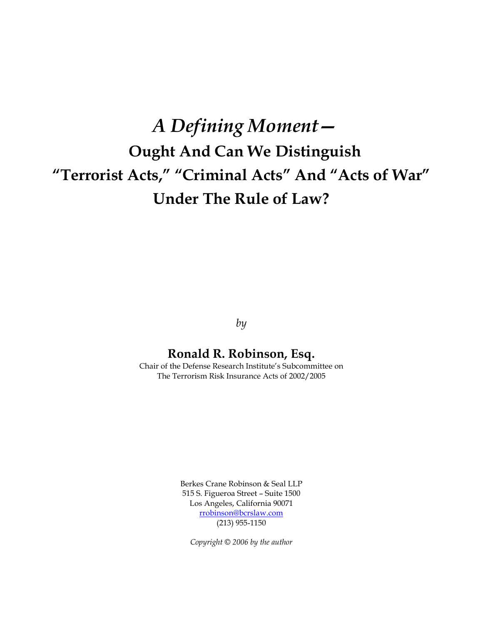# *A Defining Moment—* **Ought And Can We Distinguish "Terrorist Acts," "Criminal Acts" And "Acts of War" Under The Rule of Law?**

*by*

# **Ronald R. Robinson, Esq.**

Chair of the Defense Research Institute's Subcommittee on The Terrorism Risk Insurance Acts of 2002/2005

> Berkes Crane Robinson & Seal LLP 515 S. Figueroa Street – Suite 1500 Los Angeles, California 90071 [rrobinson@bcrslaw.com](mailto:rrobinson@bcrslaw.com) (213) 955-1150

*Copyright © 2006 by the author*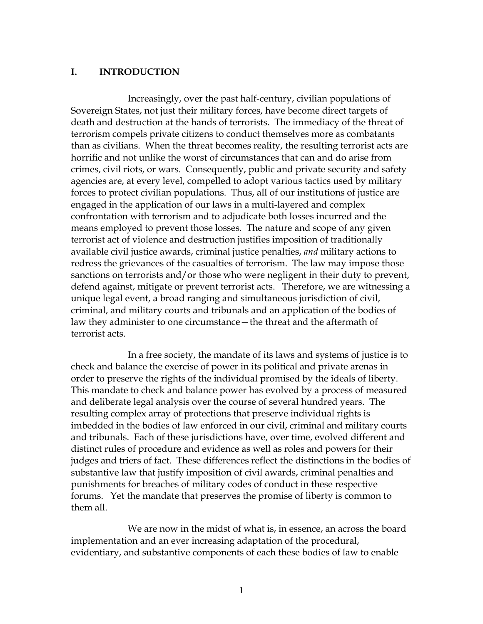#### **I. INTRODUCTION**

Increasingly, over the past half-century, civilian populations of Sovereign States, not just their military forces, have become direct targets of death and destruction at the hands of terrorists. The immediacy of the threat of terrorism compels private citizens to conduct themselves more as combatants than as civilians. When the threat becomes reality, the resulting terrorist acts are horrific and not unlike the worst of circumstances that can and do arise from crimes, civil riots, or wars. Consequently, public and private security and safety agencies are, at every level, compelled to adopt various tactics used by military forces to protect civilian populations. Thus, all of our institutions of justice are engaged in the application of our laws in a multi-layered and complex confrontation with terrorism and to adjudicate both losses incurred and the means employed to prevent those losses. The nature and scope of any given terrorist act of violence and destruction justifies imposition of traditionally available civil justice awards, criminal justice penalties, *and* military actions to redress the grievances of the casualties of terrorism. The law may impose those sanctions on terrorists and/or those who were negligent in their duty to prevent, defend against, mitigate or prevent terrorist acts. Therefore, we are witnessing a unique legal event, a broad ranging and simultaneous jurisdiction of civil, criminal, and military courts and tribunals and an application of the bodies of law they administer to one circumstance—the threat and the aftermath of terrorist acts.

In a free society, the mandate of its laws and systems of justice is to check and balance the exercise of power in its political and private arenas in order to preserve the rights of the individual promised by the ideals of liberty. This mandate to check and balance power has evolved by a process of measured and deliberate legal analysis over the course of several hundred years. The resulting complex array of protections that preserve individual rights is imbedded in the bodies of law enforced in our civil, criminal and military courts and tribunals. Each of these jurisdictions have, over time, evolved different and distinct rules of procedure and evidence as well as roles and powers for their judges and triers of fact. These differences reflect the distinctions in the bodies of substantive law that justify imposition of civil awards, criminal penalties and punishments for breaches of military codes of conduct in these respective forums. Yet the mandate that preserves the promise of liberty is common to them all.

We are now in the midst of what is, in essence, an across the board implementation and an ever increasing adaptation of the procedural, evidentiary, and substantive components of each these bodies of law to enable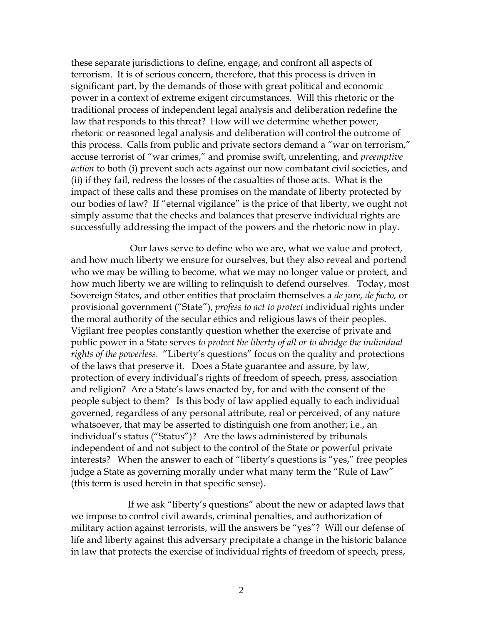these separate jurisdictions to define, engage, and confront all aspects of terrorism. It is of serious concern, therefore, that this process is driven in significant part, by the demands of those with great political and economic power in a context of extreme exigent circumstances. Will this rhetoric or the traditional process of independent legal analysis and deliberation redefine the law that responds to this threat? How will we determine whether power, rhetoric or reasoned legal analysis and deliberation will control the outcome of this process. Calls from public and private sectors demand a "war on terrorism," accuse terrorist of "war crimes," and promise swift, unrelenting, and *preemptive action* to both (i) prevent such acts against our now combatant civil societies, and (ii) if they fail, redress the losses of the casualties of those acts. What is the impact of these calls and these promises on the mandate of liberty protected by our bodies of law? If "eternal vigilance" is the price of that liberty, we ought not simply assume that the checks and balances that preserve individual rights are successfully addressing the impact of the powers and the rhetoric now in play.

Our laws serve to define who we are, what we value and protect, and how much liberty we ensure for ourselves, but they also reveal and portend who we may be willing to become, what we may no longer value or protect, and how much liberty we are willing to relinquish to defend ourselves. Today, most Sovereign States, and other entities that proclaim themselves a *de jure, de facto,* or provisional government ("State"), *profess to act to protect* individual rights under the moral authority of the secular ethics and religious laws of their peoples. Vigilant free peoples constantly question whether the exercise of private and public power in a State serves *to protect the liberty of all or to abridge the individual rights of the powerless.* "Liberty's questions" focus on the quality and protections of the laws that preserve it. Does a State guarantee and assure, by law, protection of every individual's rights of freedom of speech, press, association and religion? Are a State's laws enacted by, for and with the consent of the people subject to them? Is this body of law applied equally to each individual governed, regardless of any personal attribute, real or perceived, of any nature whatsoever, that may be asserted to distinguish one from another; i.e., an individual's status ("Status")? Are the laws administered by tribunals independent of and not subject to the control of the State or powerful private interests? When the answer to each of "liberty's questions is "yes," free peoples judge a State as governing morally under what many term the "Rule of Law" (this term is used herein in that specific sense).

If we ask "liberty's questions" about the new or adapted laws that we impose to control civil awards, criminal penalties, and authorization of military action against terrorists, will the answers be "yes"? Will our defense of life and liberty against this adversary precipitate a change in the historic balance in law that protects the exercise of individual rights of freedom of speech, press,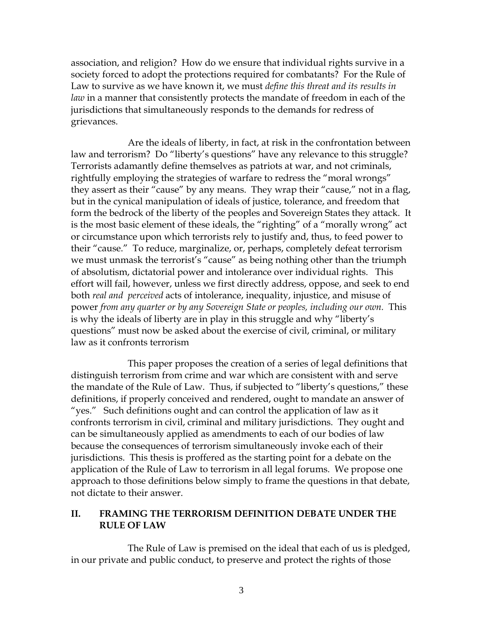association, and religion? How do we ensure that individual rights survive in a society forced to adopt the protections required for combatants? For the Rule of Law to survive as we have known it, we must *define this threat and its results in law* in a manner that consistently protects the mandate of freedom in each of the jurisdictions that simultaneously responds to the demands for redress of grievances.

Are the ideals of liberty, in fact, at risk in the confrontation between law and terrorism? Do "liberty's questions" have any relevance to this struggle? Terrorists adamantly define themselves as patriots at war, and not criminals, rightfully employing the strategies of warfare to redress the "moral wrongs" they assert as their "cause" by any means. They wrap their "cause," not in a flag, but in the cynical manipulation of ideals of justice, tolerance, and freedom that form the bedrock of the liberty of the peoples and Sovereign States they attack. It is the most basic element of these ideals, the "righting" of a "morally wrong" act or circumstance upon which terrorists rely to justify and, thus, to feed power to their "cause." To reduce, marginalize, or, perhaps, completely defeat terrorism we must unmask the terrorist's "cause" as being nothing other than the triumph of absolutism, dictatorial power and intolerance over individual rights. This effort will fail, however, unless we first directly address, oppose, and seek to end both *real and perceived* acts of intolerance, inequality, injustice, and misuse of power *from any quarter or by any Sovereign State or peoples, including our own.* This is why the ideals of liberty are in play in this struggle and why "liberty's questions" must now be asked about the exercise of civil, criminal, or military law as it confronts terrorism

This paper proposes the creation of a series of legal definitions that distinguish terrorism from crime and war which are consistent with and serve the mandate of the Rule of Law. Thus, if subjected to "liberty's questions," these definitions, if properly conceived and rendered, ought to mandate an answer of "yes." Such definitions ought and can control the application of law as it confronts terrorism in civil, criminal and military jurisdictions. They ought and can be simultaneously applied as amendments to each of our bodies of law because the consequences of terrorism simultaneously invoke each of their jurisdictions. This thesis is proffered as the starting point for a debate on the application of the Rule of Law to terrorism in all legal forums. We propose one approach to those definitions below simply to frame the questions in that debate, not dictate to their answer.

# **II. FRAMING THE TERRORISM DEFINITION DEBATE UNDER THE RULE OF LAW**

The Rule of Law is premised on the ideal that each of us is pledged, in our private and public conduct, to preserve and protect the rights of those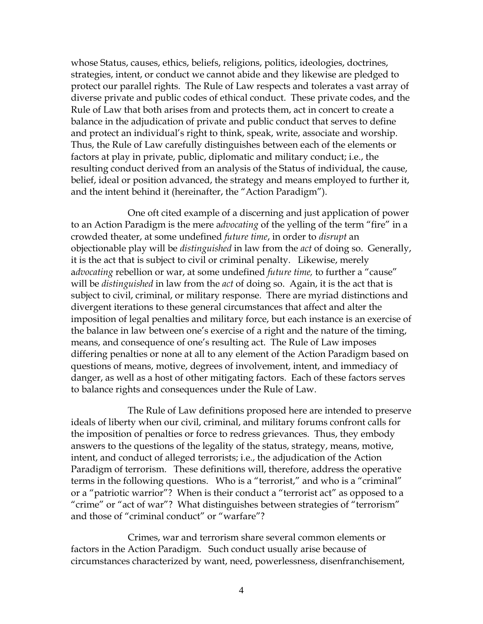whose Status, causes, ethics, beliefs, religions, politics, ideologies, doctrines, strategies, intent, or conduct we cannot abide and they likewise are pledged to protect our parallel rights. The Rule of Law respects and tolerates a vast array of diverse private and public codes of ethical conduct. These private codes, and the Rule of Law that both arises from and protects them, act in concert to create a balance in the adjudication of private and public conduct that serves to define and protect an individual's right to think, speak, write, associate and worship. Thus, the Rule of Law carefully distinguishes between each of the elements or factors at play in private, public, diplomatic and military conduct; i.e., the resulting conduct derived from an analysis of the Status of individual, the cause, belief, ideal or position advanced, the strategy and means employed to further it, and the intent behind it (hereinafter, the "Action Paradigm").

One oft cited example of a discerning and just application of power to an Action Paradigm is the mere a*dvocating* of the yelling of the term "fire" in a crowded theater, at some undefined *future time*, in order to *disrupt* an objectionable play will be *distinguished* in law from the *act* of doing so. Generally, it is the act that is subject to civil or criminal penalty. Likewise, merely a*dvocating* rebellion or war, at some undefined *future time,* to further a "cause" will be *distinguished* in law from the *act* of doing so. Again, it is the act that is subject to civil, criminal, or military response. There are myriad distinctions and divergent iterations to these general circumstances that affect and alter the imposition of legal penalties and military force, but each instance is an exercise of the balance in law between one's exercise of a right and the nature of the timing, means, and consequence of one's resulting act. The Rule of Law imposes differing penalties or none at all to any element of the Action Paradigm based on questions of means, motive, degrees of involvement, intent, and immediacy of danger, as well as a host of other mitigating factors. Each of these factors serves to balance rights and consequences under the Rule of Law.

The Rule of Law definitions proposed here are intended to preserve ideals of liberty when our civil, criminal, and military forums confront calls for the imposition of penalties or force to redress grievances. Thus, they embody answers to the questions of the legality of the status, strategy, means, motive, intent, and conduct of alleged terrorists; i.e., the adjudication of the Action Paradigm of terrorism. These definitions will, therefore, address the operative terms in the following questions. Who is a "terrorist," and who is a "criminal" or a "patriotic warrior"? When is their conduct a "terrorist act" as opposed to a "crime" or "act of war"? What distinguishes between strategies of "terrorism" and those of "criminal conduct" or "warfare"?

Crimes, war and terrorism share several common elements or factors in the Action Paradigm. Such conduct usually arise because of circumstances characterized by want, need, powerlessness, disenfranchisement,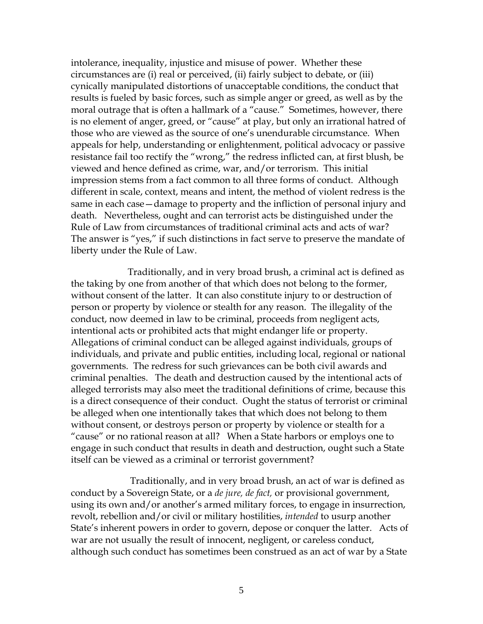intolerance, inequality, injustice and misuse of power. Whether these circumstances are (i) real or perceived, (ii) fairly subject to debate, or (iii) cynically manipulated distortions of unacceptable conditions, the conduct that results is fueled by basic forces, such as simple anger or greed, as well as by the moral outrage that is often a hallmark of a "cause." Sometimes, however, there is no element of anger, greed, or "cause" at play, but only an irrational hatred of those who are viewed as the source of one's unendurable circumstance. When appeals for help, understanding or enlightenment, political advocacy or passive resistance fail too rectify the "wrong," the redress inflicted can, at first blush, be viewed and hence defined as crime, war, and/or terrorism. This initial impression stems from a fact common to all three forms of conduct. Although different in scale, context, means and intent, the method of violent redress is the same in each case—damage to property and the infliction of personal injury and death. Nevertheless, ought and can terrorist acts be distinguished under the Rule of Law from circumstances of traditional criminal acts and acts of war? The answer is "yes," if such distinctions in fact serve to preserve the mandate of liberty under the Rule of Law.

Traditionally, and in very broad brush, a criminal act is defined as the taking by one from another of that which does not belong to the former, without consent of the latter. It can also constitute injury to or destruction of person or property by violence or stealth for any reason. The illegality of the conduct, now deemed in law to be criminal, proceeds from negligent acts, intentional acts or prohibited acts that might endanger life or property. Allegations of criminal conduct can be alleged against individuals, groups of individuals, and private and public entities, including local, regional or national governments. The redress for such grievances can be both civil awards and criminal penalties. The death and destruction caused by the intentional acts of alleged terrorists may also meet the traditional definitions of crime, because this is a direct consequence of their conduct. Ought the status of terrorist or criminal be alleged when one intentionally takes that which does not belong to them without consent, or destroys person or property by violence or stealth for a "cause" or no rational reason at all? When a State harbors or employs one to engage in such conduct that results in death and destruction, ought such a State itself can be viewed as a criminal or terrorist government?

Traditionally, and in very broad brush, an act of war is defined as conduct by a Sovereign State, or a *de jure, de fact,* or provisional government, using its own and/or another's armed military forces, to engage in insurrection, revolt, rebellion and/or civil or military hostilities, *intended* to usurp another State's inherent powers in order to govern, depose or conquer the latter. Acts of war are not usually the result of innocent, negligent, or careless conduct, although such conduct has sometimes been construed as an act of war by a State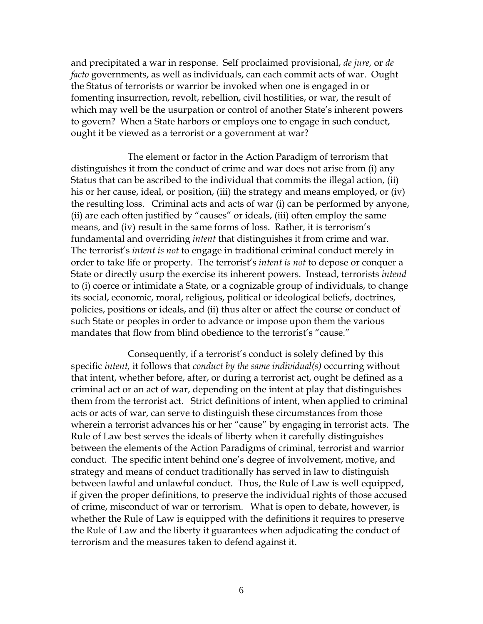and precipitated a war in response. Self proclaimed provisional, *de jure,* or *de facto* governments, as well as individuals, can each commit acts of war. Ought the Status of terrorists or warrior be invoked when one is engaged in or fomenting insurrection, revolt, rebellion, civil hostilities, or war, the result of which may well be the usurpation or control of another State's inherent powers to govern? When a State harbors or employs one to engage in such conduct, ought it be viewed as a terrorist or a government at war?

The element or factor in the Action Paradigm of terrorism that distinguishes it from the conduct of crime and war does not arise from (i) any Status that can be ascribed to the individual that commits the illegal action, (ii) his or her cause, ideal, or position, (iii) the strategy and means employed, or (iv) the resulting loss. Criminal acts and acts of war (i) can be performed by anyone, (ii) are each often justified by "causes" or ideals, (iii) often employ the same means, and (iv) result in the same forms of loss. Rather, it is terrorism's fundamental and overriding *intent* that distinguishes it from crime and war. The terrorist's *intent is not* to engage in traditional criminal conduct merely in order to take life or property. The terrorist's *intent is not* to depose or conquer a State or directly usurp the exercise its inherent powers. Instead, terrorists *intend*  to (i) coerce or intimidate a State, or a cognizable group of individuals, to change its social, economic, moral, religious, political or ideological beliefs, doctrines, policies, positions or ideals, and (ii) thus alter or affect the course or conduct of such State or peoples in order to advance or impose upon them the various mandates that flow from blind obedience to the terrorist's "cause."

Consequently, if a terrorist's conduct is solely defined by this specific *intent,* it follows that *conduct by the same individual(s)* occurring without that intent, whether before, after, or during a terrorist act, ought be defined as a criminal act or an act of war, depending on the intent at play that distinguishes them from the terrorist act. Strict definitions of intent, when applied to criminal acts or acts of war, can serve to distinguish these circumstances from those wherein a terrorist advances his or her "cause" by engaging in terrorist acts. The Rule of Law best serves the ideals of liberty when it carefully distinguishes between the elements of the Action Paradigms of criminal, terrorist and warrior conduct. The specific intent behind one's degree of involvement, motive, and strategy and means of conduct traditionally has served in law to distinguish between lawful and unlawful conduct. Thus, the Rule of Law is well equipped, if given the proper definitions, to preserve the individual rights of those accused of crime, misconduct of war or terrorism. What is open to debate, however, is whether the Rule of Law is equipped with the definitions it requires to preserve the Rule of Law and the liberty it guarantees when adjudicating the conduct of terrorism and the measures taken to defend against it.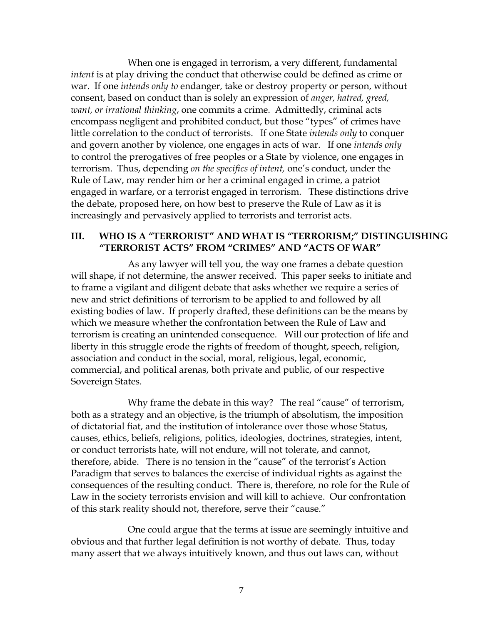When one is engaged in terrorism, a very different, fundamental *intent* is at play driving the conduct that otherwise could be defined as crime or war. If one *intends only to* endanger, take or destroy property or person, without consent, based on conduct than is solely an expression of *anger, hatred, greed, want, or irrational thinking*, one commits a crime. Admittedly, criminal acts encompass negligent and prohibited conduct, but those "types" of crimes have little correlation to the conduct of terrorists. If one State *intends only* to conquer and govern another by violence, one engages in acts of war. If one *intends only*  to control the prerogatives of free peoples or a State by violence, one engages in terrorism. Thus, depending *on the specifics of intent,* one's conduct, under the Rule of Law, may render him or her a criminal engaged in crime, a patriot engaged in warfare, or a terrorist engaged in terrorism. These distinctions drive the debate, proposed here, on how best to preserve the Rule of Law as it is increasingly and pervasively applied to terrorists and terrorist acts.

# **III. WHO IS A "TERRORIST" AND WHAT IS "TERRORISM;" DISTINGUISHING "TERRORIST ACTS" FROM "CRIMES" AND "ACTS OF WAR"**

As any lawyer will tell you, the way one frames a debate question will shape, if not determine, the answer received. This paper seeks to initiate and to frame a vigilant and diligent debate that asks whether we require a series of new and strict definitions of terrorism to be applied to and followed by all existing bodies of law. If properly drafted, these definitions can be the means by which we measure whether the confrontation between the Rule of Law and terrorism is creating an unintended consequence. Will our protection of life and liberty in this struggle erode the rights of freedom of thought, speech, religion, association and conduct in the social, moral, religious, legal, economic, commercial, and political arenas, both private and public, of our respective Sovereign States.

Why frame the debate in this way? The real "cause" of terrorism, both as a strategy and an objective, is the triumph of absolutism, the imposition of dictatorial fiat, and the institution of intolerance over those whose Status, causes, ethics, beliefs, religions, politics, ideologies, doctrines, strategies, intent, or conduct terrorists hate, will not endure, will not tolerate, and cannot, therefore, abide. There is no tension in the "cause" of the terrorist's Action Paradigm that serves to balances the exercise of individual rights as against the consequences of the resulting conduct. There is, therefore, no role for the Rule of Law in the society terrorists envision and will kill to achieve. Our confrontation of this stark reality should not, therefore, serve their "cause."

One could argue that the terms at issue are seemingly intuitive and obvious and that further legal definition is not worthy of debate. Thus, today many assert that we always intuitively known, and thus out laws can, without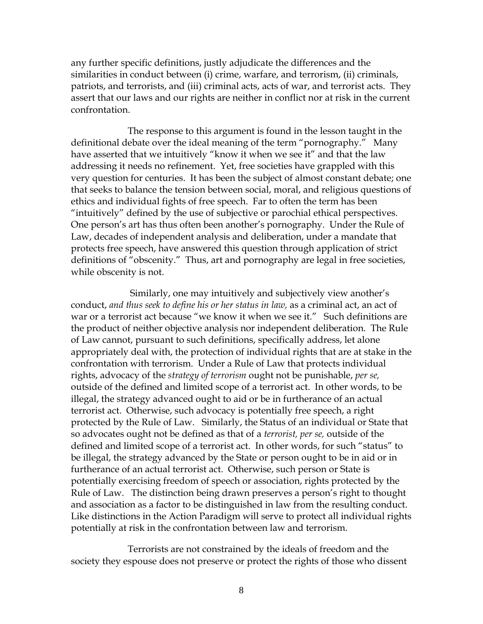any further specific definitions, justly adjudicate the differences and the similarities in conduct between (i) crime, warfare, and terrorism, (ii) criminals, patriots, and terrorists, and (iii) criminal acts, acts of war, and terrorist acts. They assert that our laws and our rights are neither in conflict nor at risk in the current confrontation.

The response to this argument is found in the lesson taught in the definitional debate over the ideal meaning of the term "pornography." Many have asserted that we intuitively "know it when we see it" and that the law addressing it needs no refinement. Yet, free societies have grappled with this very question for centuries. It has been the subject of almost constant debate; one that seeks to balance the tension between social, moral, and religious questions of ethics and individual fights of free speech. Far to often the term has been "intuitively" defined by the use of subjective or parochial ethical perspectives. One person's art has thus often been another's pornography. Under the Rule of Law, decades of independent analysis and deliberation, under a mandate that protects free speech, have answered this question through application of strict definitions of "obscenity." Thus, art and pornography are legal in free societies, while obscenity is not.

Similarly, one may intuitively and subjectively view another's conduct, *and thus seek to define his or her status in law,* as a criminal act, an act of war or a terrorist act because "we know it when we see it." Such definitions are the product of neither objective analysis nor independent deliberation. The Rule of Law cannot, pursuant to such definitions, specifically address, let alone appropriately deal with, the protection of individual rights that are at stake in the confrontation with terrorism. Under a Rule of Law that protects individual rights, advocacy of the *strategy of terrorism* ought not be punishable, *per se,* outside of the defined and limited scope of a terrorist act. In other words, to be illegal, the strategy advanced ought to aid or be in furtherance of an actual terrorist act. Otherwise, such advocacy is potentially free speech, a right protected by the Rule of Law. Similarly, the Status of an individual or State that so advocates ought not be defined as that of a *terrorist, per se,* outside of the defined and limited scope of a terrorist act. In other words, for such "status" to be illegal, the strategy advanced by the State or person ought to be in aid or in furtherance of an actual terrorist act. Otherwise, such person or State is potentially exercising freedom of speech or association, rights protected by the Rule of Law. The distinction being drawn preserves a person's right to thought and association as a factor to be distinguished in law from the resulting conduct. Like distinctions in the Action Paradigm will serve to protect all individual rights potentially at risk in the confrontation between law and terrorism.

Terrorists are not constrained by the ideals of freedom and the society they espouse does not preserve or protect the rights of those who dissent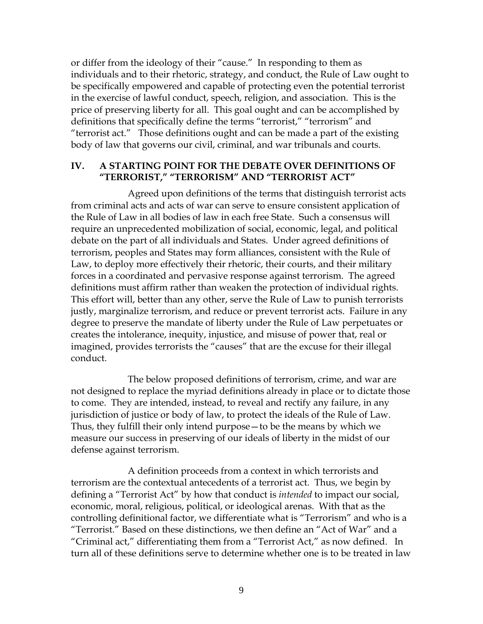or differ from the ideology of their "cause." In responding to them as individuals and to their rhetoric, strategy, and conduct, the Rule of Law ought to be specifically empowered and capable of protecting even the potential terrorist in the exercise of lawful conduct, speech, religion, and association. This is the price of preserving liberty for all. This goal ought and can be accomplished by definitions that specifically define the terms "terrorist," "terrorism" and "terrorist act." Those definitions ought and can be made a part of the existing body of law that governs our civil, criminal, and war tribunals and courts.

### **IV. A STARTING POINT FOR THE DEBATE OVER DEFINITIONS OF "TERRORIST," "TERRORISM" AND "TERRORIST ACT"**

Agreed upon definitions of the terms that distinguish terrorist acts from criminal acts and acts of war can serve to ensure consistent application of the Rule of Law in all bodies of law in each free State. Such a consensus will require an unprecedented mobilization of social, economic, legal, and political debate on the part of all individuals and States. Under agreed definitions of terrorism, peoples and States may form alliances, consistent with the Rule of Law, to deploy more effectively their rhetoric, their courts, and their military forces in a coordinated and pervasive response against terrorism. The agreed definitions must affirm rather than weaken the protection of individual rights. This effort will, better than any other, serve the Rule of Law to punish terrorists justly, marginalize terrorism, and reduce or prevent terrorist acts. Failure in any degree to preserve the mandate of liberty under the Rule of Law perpetuates or creates the intolerance, inequity, injustice, and misuse of power that, real or imagined, provides terrorists the "causes" that are the excuse for their illegal conduct.

The below proposed definitions of terrorism, crime, and war are not designed to replace the myriad definitions already in place or to dictate those to come. They are intended, instead, to reveal and rectify any failure, in any jurisdiction of justice or body of law, to protect the ideals of the Rule of Law. Thus, they fulfill their only intend purpose—to be the means by which we measure our success in preserving of our ideals of liberty in the midst of our defense against terrorism.

A definition proceeds from a context in which terrorists and terrorism are the contextual antecedents of a terrorist act. Thus, we begin by defining a "Terrorist Act" by how that conduct is *intended* to impact our social, economic, moral, religious, political, or ideological arenas. With that as the controlling definitional factor, we differentiate what is "Terrorism" and who is a "Terrorist." Based on these distinctions, we then define an "Act of War" and a "Criminal act," differentiating them from a "Terrorist Act," as now defined. In turn all of these definitions serve to determine whether one is to be treated in law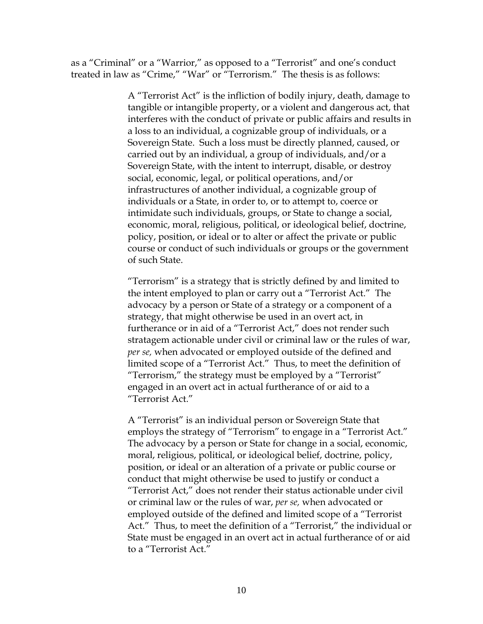as a "Criminal" or a "Warrior," as opposed to a "Terrorist" and one's conduct treated in law as "Crime," "War" or "Terrorism." The thesis is as follows:

> A "Terrorist Act" is the infliction of bodily injury, death, damage to tangible or intangible property, or a violent and dangerous act, that interferes with the conduct of private or public affairs and results in a loss to an individual, a cognizable group of individuals, or a Sovereign State. Such a loss must be directly planned, caused, or carried out by an individual, a group of individuals, and/or a Sovereign State, with the intent to interrupt, disable, or destroy social, economic, legal, or political operations, and/or infrastructures of another individual, a cognizable group of individuals or a State, in order to, or to attempt to, coerce or intimidate such individuals, groups, or State to change a social, economic, moral, religious, political, or ideological belief, doctrine, policy, position, or ideal or to alter or affect the private or public course or conduct of such individuals or groups or the government of such State.

> "Terrorism" is a strategy that is strictly defined by and limited to the intent employed to plan or carry out a "Terrorist Act." The advocacy by a person or State of a strategy or a component of a strategy, that might otherwise be used in an overt act, in furtherance or in aid of a "Terrorist Act," does not render such stratagem actionable under civil or criminal law or the rules of war, *per se,* when advocated or employed outside of the defined and limited scope of a "Terrorist Act." Thus, to meet the definition of "Terrorism," the strategy must be employed by a "Terrorist" engaged in an overt act in actual furtherance of or aid to a "Terrorist Act."

> A "Terrorist" is an individual person or Sovereign State that employs the strategy of "Terrorism" to engage in a "Terrorist Act." The advocacy by a person or State for change in a social, economic, moral, religious, political, or ideological belief, doctrine, policy, position, or ideal or an alteration of a private or public course or conduct that might otherwise be used to justify or conduct a "Terrorist Act," does not render their status actionable under civil or criminal law or the rules of war, *per se,* when advocated or employed outside of the defined and limited scope of a "Terrorist Act." Thus, to meet the definition of a "Terrorist," the individual or State must be engaged in an overt act in actual furtherance of or aid to a "Terrorist Act."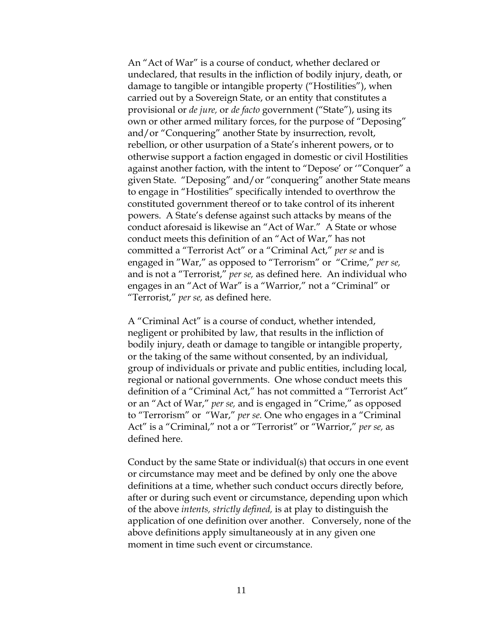An "Act of War" is a course of conduct, whether declared or undeclared, that results in the infliction of bodily injury, death, or damage to tangible or intangible property ("Hostilities"), when carried out by a Sovereign State, or an entity that constitutes a provisional or *de jure,* or *de facto* government ("State"), using its own or other armed military forces, for the purpose of "Deposing" and/or "Conquering" another State by insurrection, revolt, rebellion, or other usurpation of a State's inherent powers, or to otherwise support a faction engaged in domestic or civil Hostilities against another faction, with the intent to "Depose' or '"Conquer" a given State. "Deposing" and/or "conquering" another State means to engage in "Hostilities" specifically intended to overthrow the constituted government thereof or to take control of its inherent powers. A State's defense against such attacks by means of the conduct aforesaid is likewise an "Act of War." A State or whose conduct meets this definition of an "Act of War," has not committed a "Terrorist Act" or a "Criminal Act," *per se* and is engaged in "War," as opposed to "Terrorism" or "Crime," *per se,*  and is not a "Terrorist," *per se,* as defined here. An individual who engages in an "Act of War" is a "Warrior," not a "Criminal" or "Terrorist," *per se,* as defined here.

A "Criminal Act" is a course of conduct, whether intended, negligent or prohibited by law, that results in the infliction of bodily injury, death or damage to tangible or intangible property, or the taking of the same without consented, by an individual, group of individuals or private and public entities, including local, regional or national governments. One whose conduct meets this definition of a "Criminal Act," has not committed a "Terrorist Act" or an "Act of War," *per se,* and is engaged in "Crime," as opposed to "Terrorism" or "War," *per se.* One who engages in a "Criminal Act" is a "Criminal," not a or "Terrorist" or "Warrior," *per se,* as defined here.

Conduct by the same State or individual(s) that occurs in one event or circumstance may meet and be defined by only one the above definitions at a time, whether such conduct occurs directly before, after or during such event or circumstance, depending upon which of the above *intents, strictly defined,* is at play to distinguish the application of one definition over another. Conversely, none of the above definitions apply simultaneously at in any given one moment in time such event or circumstance.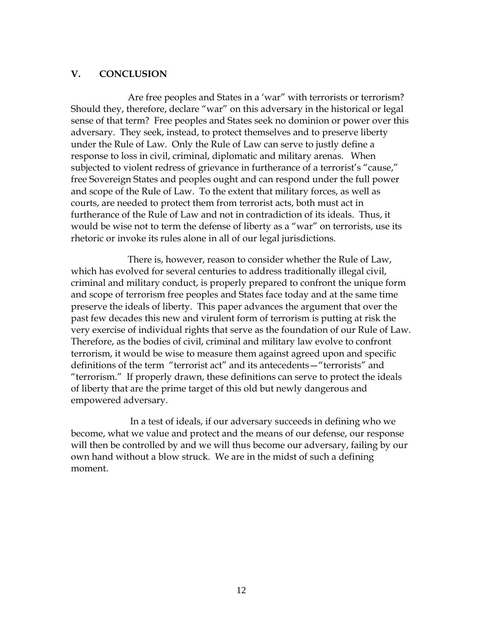## **V. CONCLUSION**

Are free peoples and States in a 'war" with terrorists or terrorism? Should they, therefore, declare "war" on this adversary in the historical or legal sense of that term? Free peoples and States seek no dominion or power over this adversary. They seek, instead, to protect themselves and to preserve liberty under the Rule of Law. Only the Rule of Law can serve to justly define a response to loss in civil, criminal, diplomatic and military arenas. When subjected to violent redress of grievance in furtherance of a terrorist's "cause," free Sovereign States and peoples ought and can respond under the full power and scope of the Rule of Law. To the extent that military forces, as well as courts, are needed to protect them from terrorist acts, both must act in furtherance of the Rule of Law and not in contradiction of its ideals. Thus, it would be wise not to term the defense of liberty as a "war" on terrorists, use its rhetoric or invoke its rules alone in all of our legal jurisdictions.

There is, however, reason to consider whether the Rule of Law, which has evolved for several centuries to address traditionally illegal civil, criminal and military conduct, is properly prepared to confront the unique form and scope of terrorism free peoples and States face today and at the same time preserve the ideals of liberty. This paper advances the argument that over the past few decades this new and virulent form of terrorism is putting at risk the very exercise of individual rights that serve as the foundation of our Rule of Law. Therefore, as the bodies of civil, criminal and military law evolve to confront terrorism, it would be wise to measure them against agreed upon and specific definitions of the term "terrorist act" and its antecedents—"terrorists" and "terrorism." If properly drawn, these definitions can serve to protect the ideals of liberty that are the prime target of this old but newly dangerous and empowered adversary.

In a test of ideals, if our adversary succeeds in defining who we become, what we value and protect and the means of our defense, our response will then be controlled by and we will thus become our adversary, failing by our own hand without a blow struck. We are in the midst of such a defining moment.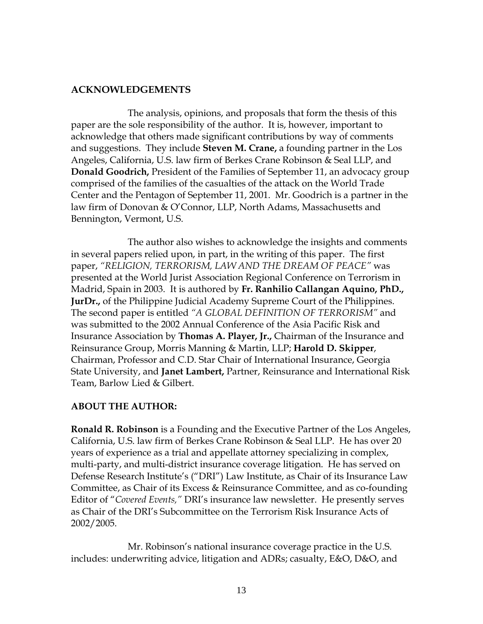# **ACKNOWLEDGEMENTS**

The analysis, opinions, and proposals that form the thesis of this paper are the sole responsibility of the author. It is, however, important to acknowledge that others made significant contributions by way of comments and suggestions. They include **Steven M. Crane,** a founding partner in the Los Angeles, California, U.S. law firm of Berkes Crane Robinson & Seal LLP, and **Donald Goodrich,** President of the Families of September 11, an advocacy group comprised of the families of the casualties of the attack on the World Trade Center and the Pentagon of September 11, 2001. Mr. Goodrich is a partner in the law firm of Donovan & O'Connor, LLP, North Adams, Massachusetts and Bennington, Vermont, U.S.

The author also wishes to acknowledge the insights and comments in several papers relied upon, in part, in the writing of this paper. The first paper, *"RELIGION, TERRORISM, LAW AND THE DREAM OF PEACE"* was presented at the World Jurist Association Regional Conference on Terrorism in Madrid, Spain in 2003. It is authored by **Fr. Ranhilio Callangan Aquino, PhD., JurDr.,** of the Philippine Judicial Academy Supreme Court of the Philippines. The second paper is entitled *"A GLOBAL DEFINITION OF TERRORISM"* and was submitted to the 2002 Annual Conference of the Asia Pacific Risk and Insurance Association by **Thomas A. Player, Jr.,** Chairman of the Insurance and Reinsurance Group, Morris Manning & Martin, LLP; **Harold D. Skipper**, Chairman, Professor and C.D. Star Chair of International Insurance, Georgia State University, and **Janet Lambert,** Partner, Reinsurance and International Risk Team, Barlow Lied & Gilbert.

# **ABOUT THE AUTHOR:**

**Ronald R. Robinson** is a Founding and the Executive Partner of the Los Angeles, California, U.S. law firm of Berkes Crane Robinson & Seal LLP. He has over 20 years of experience as a trial and appellate attorney specializing in complex, multi-party, and multi-district insurance coverage litigation. He has served on Defense Research Institute's ("DRI") Law Institute, as Chair of its Insurance Law Committee, as Chair of its Excess & Reinsurance Committee, and as co-founding Editor of "*Covered Events,"* DRI's insurance law newsletter. He presently serves as Chair of the DRI's Subcommittee on the Terrorism Risk Insurance Acts of 2002/2005.

Mr. Robinson's national insurance coverage practice in the U.S. includes: underwriting advice, litigation and ADRs; casualty, E&O, D&O, and